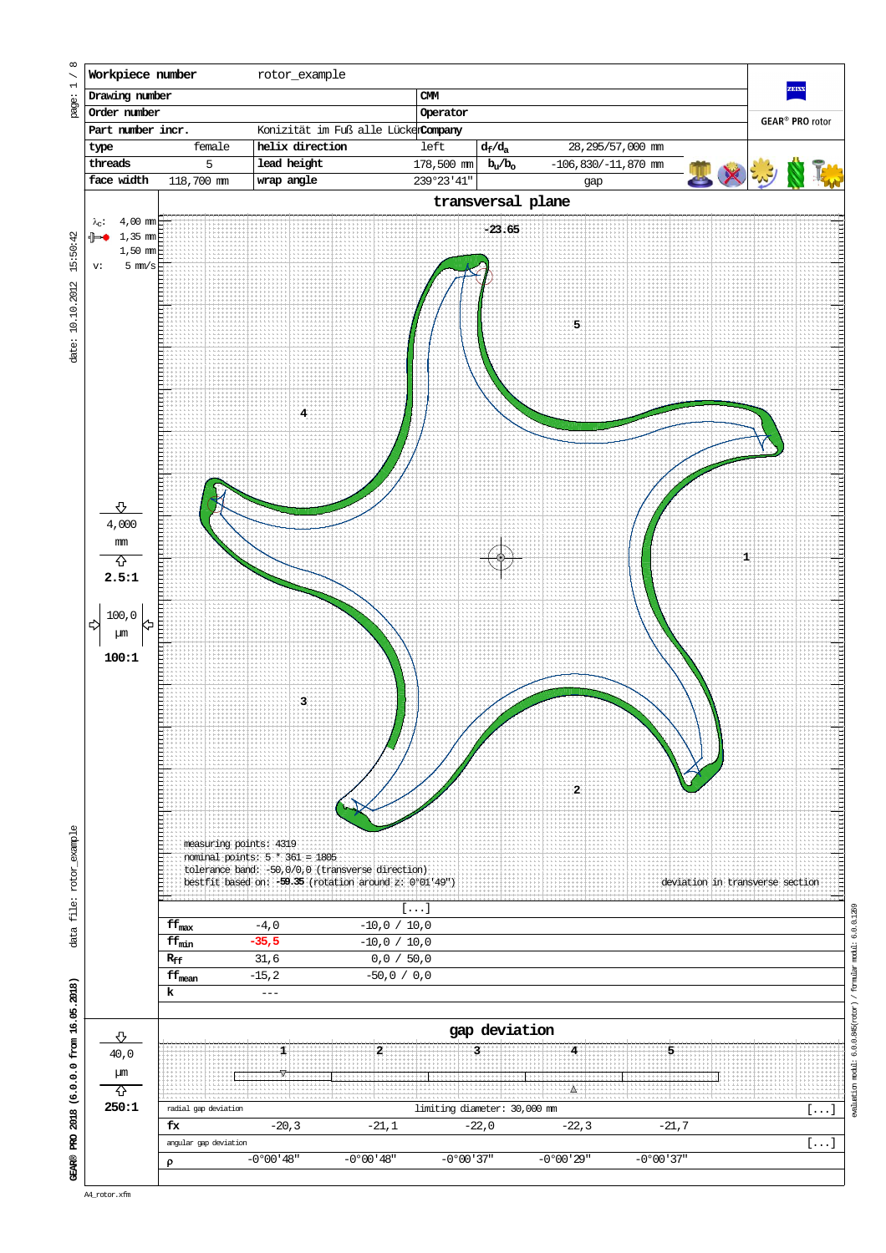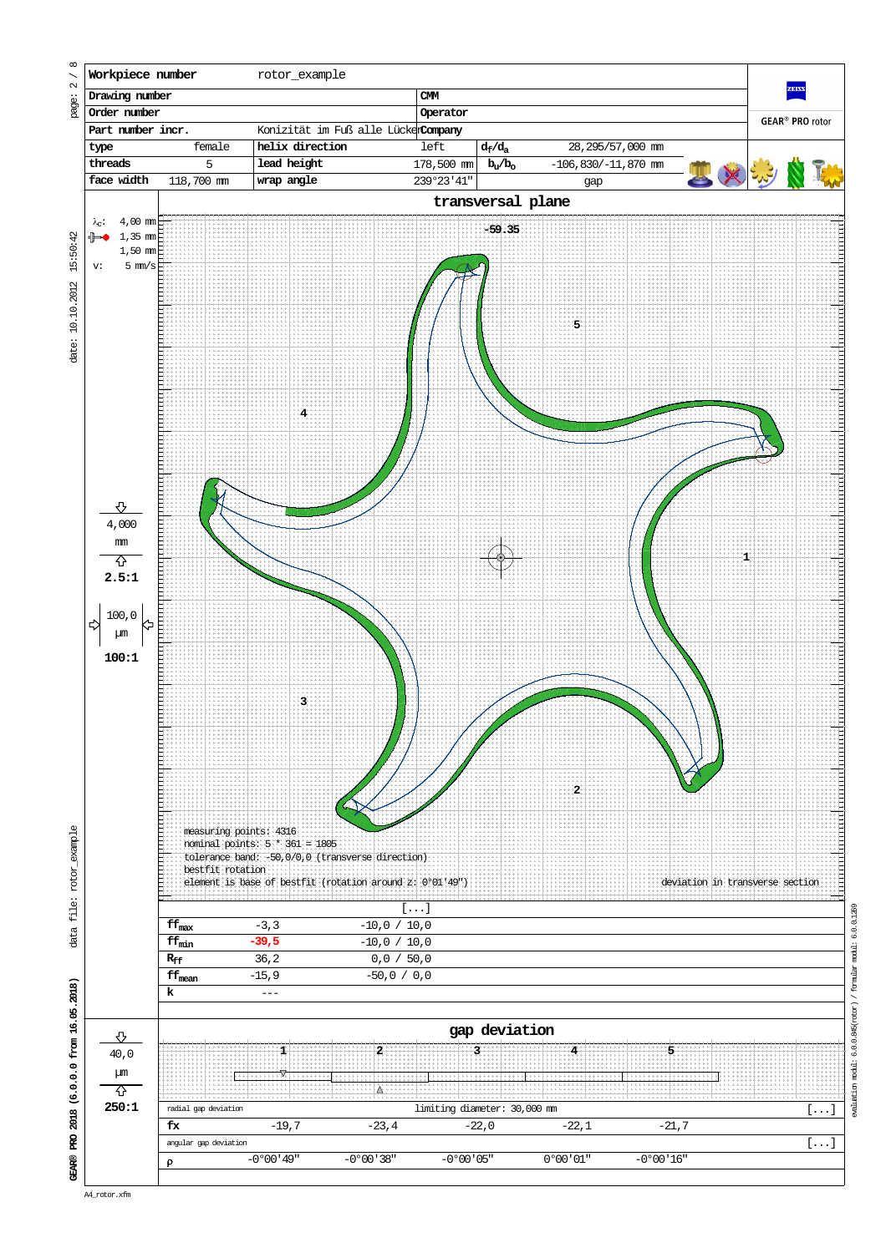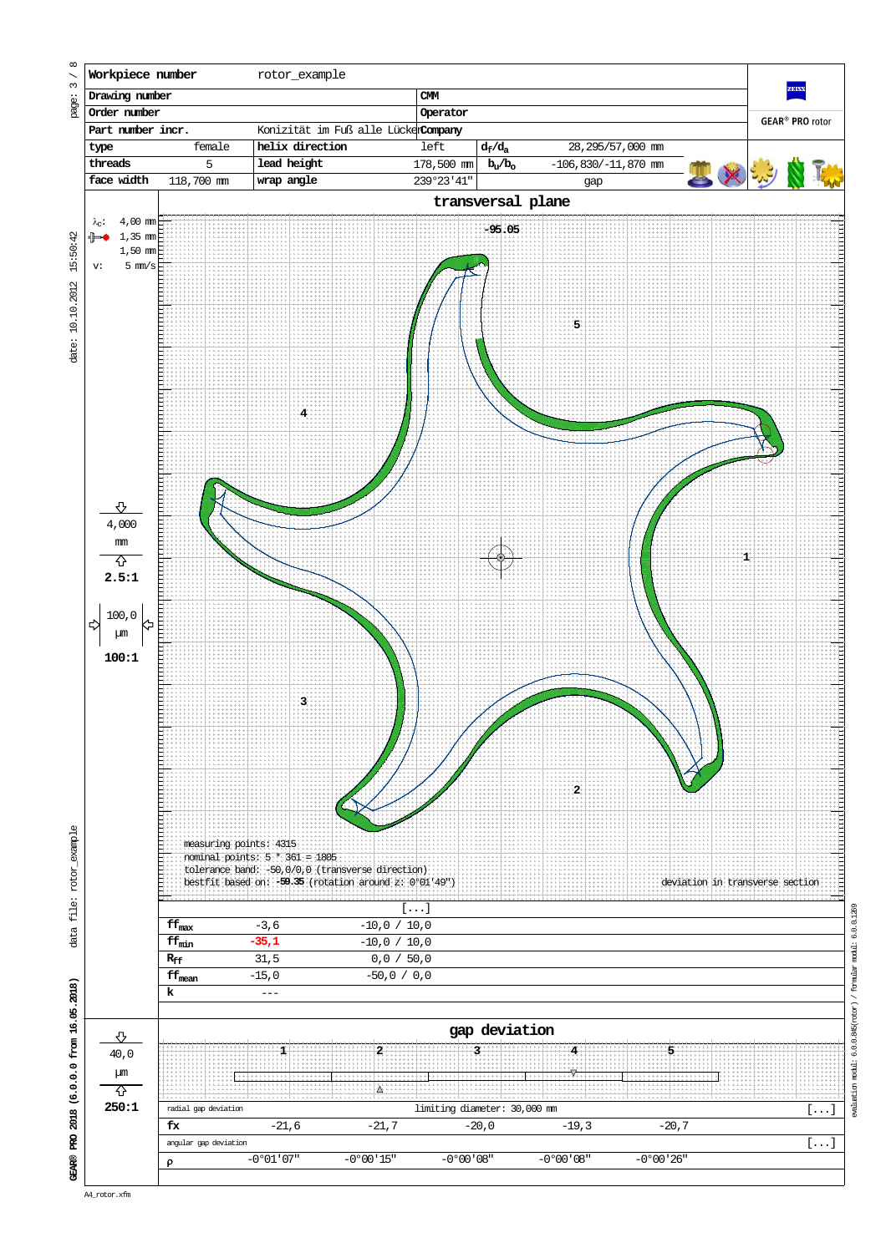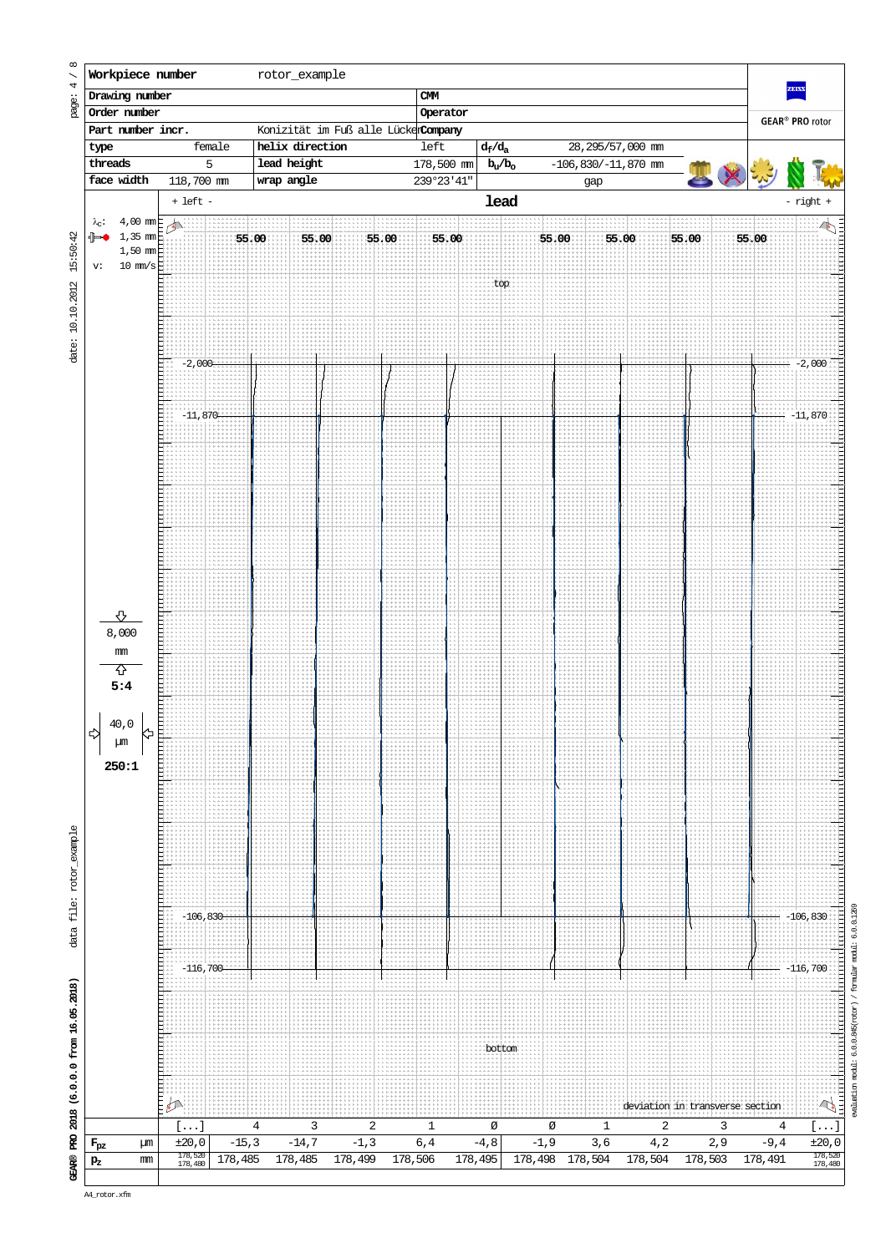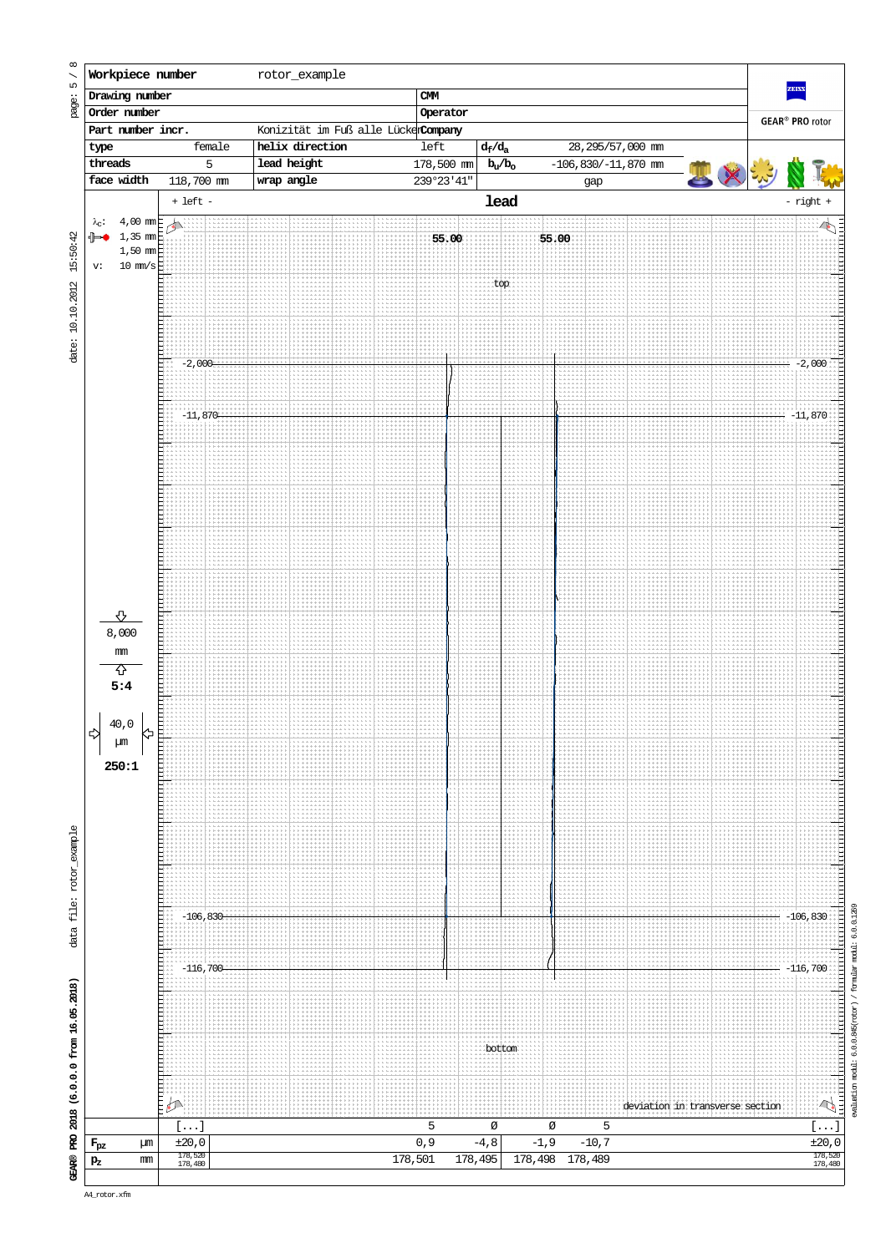

evaluation modul:  $6.0.0.945(\text{zot}\alpha r)$  / formular modul:  $6.0.0.1269$ evaluation modul: 6.0.0.845(rotor) / formular modul: 6.0.0.1269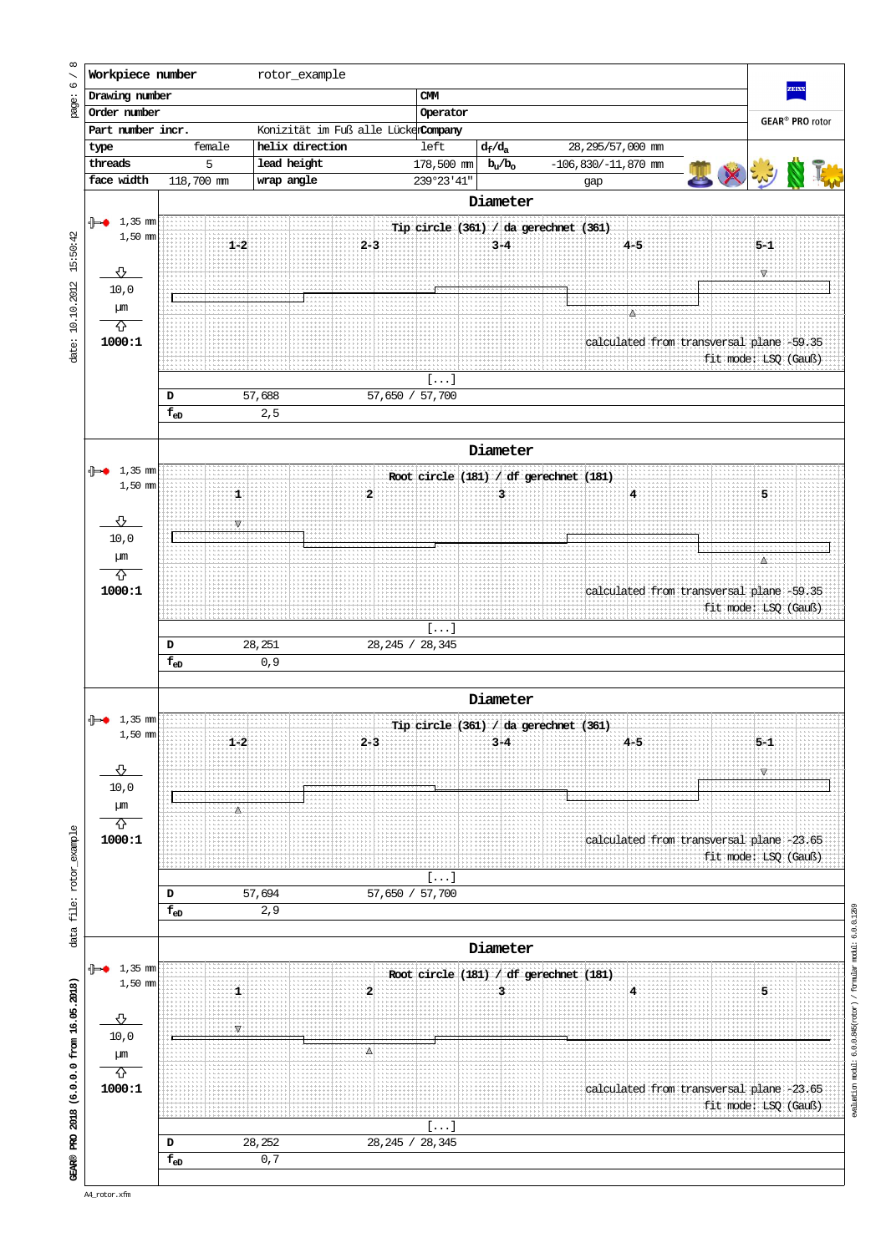

evaluation modul:  $6.0.0.845(xot \alpha x)$  / formular modul:  $6.0.0.1269$ evaluation modul: 6.0.0.845(rotor) / formular modul: 6.0.0.1269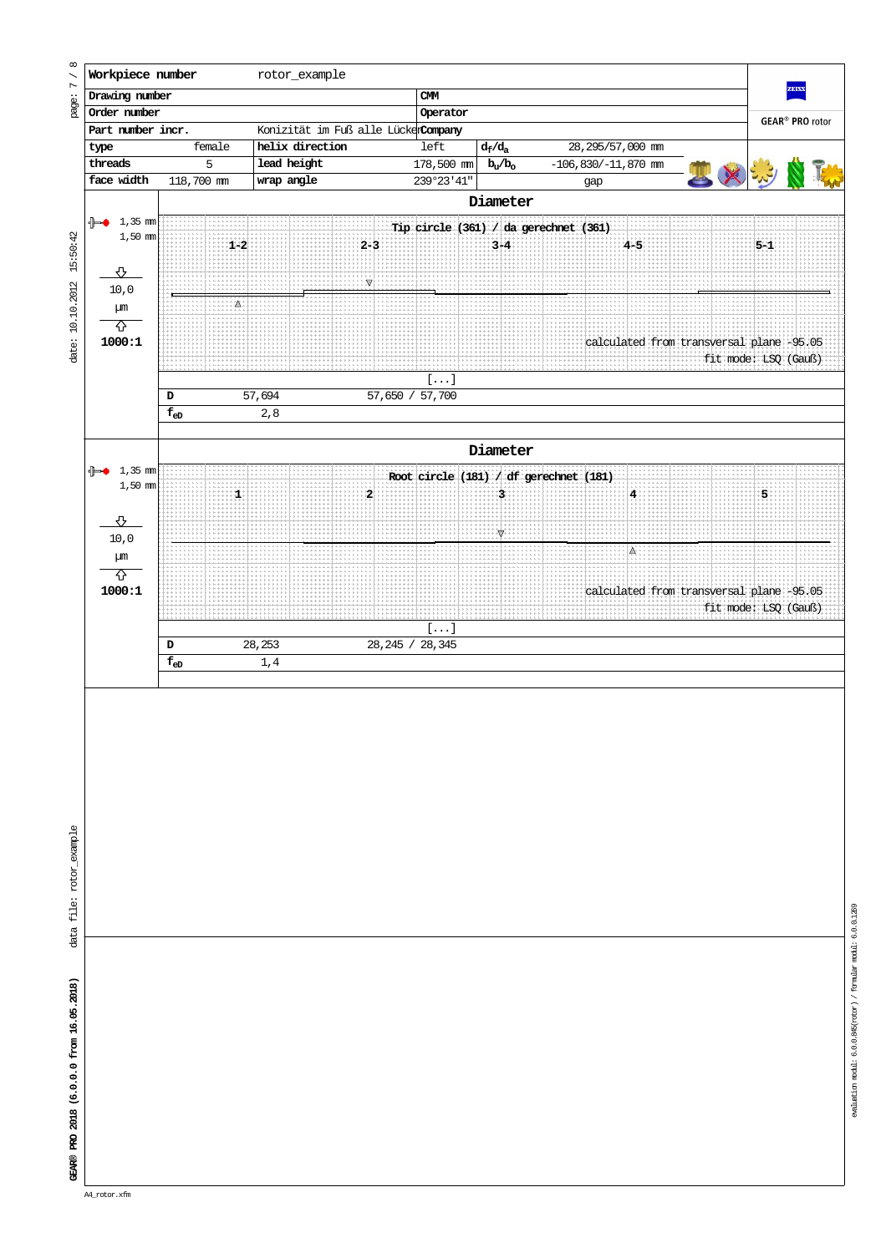

evaluation modul:  $6.0.0.945(\mathrm{xot}\,\mathrm{c}\tau)$  / formular modul:  $6.0.0.1269$ evaluation modul: 6.0.0.845(rotor) / formular modul: 6.0.0.1269